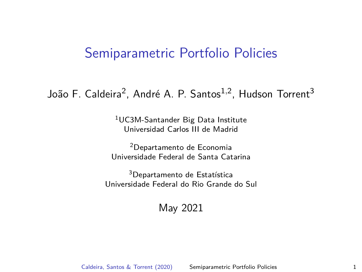#### <span id="page-0-0"></span>João F. Caldeira<sup>2</sup>, André A. P. Santos<sup>1,2</sup>, Hudson Torrent<sup>3</sup>

<sup>1</sup>UC3M-Santander Big Data Institute Universidad Carlos III de Madrid

<sup>2</sup>Departamento de Economia Universidade Federal de Santa Catarina

 $3$ Departamento de Estatística Universidade Federal do Rio Grande do Sul

#### May 2021

Caldeira, Santos & Torrent (2020) [Semiparametric Portfolio Policies](#page-46-0) 1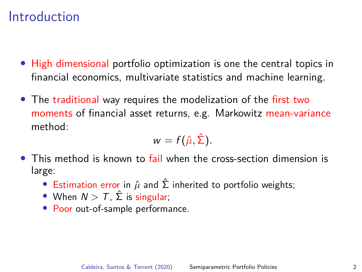# Introduction

- High dimensional portfolio optimization is one the central topics in financial economics, multivariate statistics and machine learning.
- The traditional way requires the modelization of the first two moments of financial asset returns, e.g. Markowitz mean-variance method:

$$
w=f(\hat{\mu},\hat{\Sigma}).
$$

- This method is known to fail when the cross-section dimension is large:
	- Estimation error in  $\hat{\mu}$  and  $\hat{\Sigma}$  inherited to portfolio weights;
	- When  $N > T$ ,  $\hat{\Sigma}$  is singular;
	- Poor out-of-sample performance.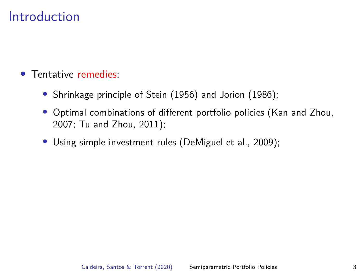# Introduction

- Tentative remedies:
	- Shrinkage principle of [Stein \(1956\)](#page-46-1) and [Jorion \(1986\)](#page-45-0);
	- Optimal combinations of different portfolio policies [\(Kan and Zhou,](#page-45-1) [2007;](#page-45-1) [Tu and Zhou, 2011\)](#page-46-2);
	- Using simple investment rules [\(DeMiguel et al., 2009\)](#page-45-2);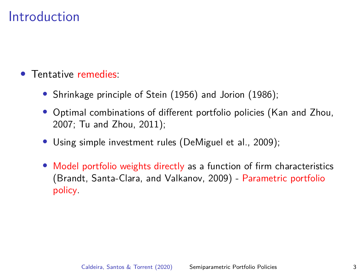# Introduction

- Tentative remedies:
	- Shrinkage principle of [Stein \(1956\)](#page-46-1) and [Jorion \(1986\)](#page-45-0);
	- Optimal combinations of different portfolio policies [\(Kan and Zhou,](#page-45-1) [2007;](#page-45-1) [Tu and Zhou, 2011\)](#page-46-2);
	- Using simple investment rules [\(DeMiguel et al., 2009\)](#page-45-2);
	- Model portfolio weights directly as a function of firm characteristics [\(Brandt, Santa-Clara, and Valkanov, 2009\)](#page-45-3) - Parametric portfolio policy.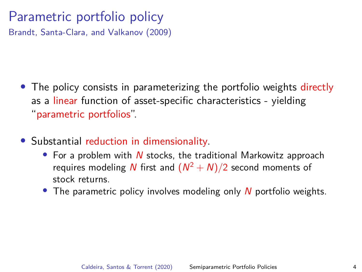# Parametric portfolio policy

[Brandt, Santa-Clara, and Valkanov \(2009\)](#page-45-3)

- The policy consists in parameterizing the portfolio weights directly as a linear function of asset-specific characteristics - yielding "parametric portfolios".
- Substantial reduction in dimensionality.
	- For a problem with  $N$  stocks, the traditional Markowitz approach requires modeling N first and  $(N^2 + N)/2$  second moments of stock returns.
	- The parametric policy involves modeling only  $N$  portfolio weights.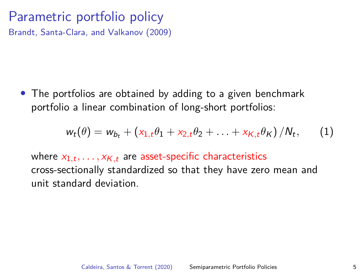#### Parametric portfolio policy [Brandt, Santa-Clara, and Valkanov \(2009\)](#page-45-3)

• The portfolios are obtained by adding to a given benchmark portfolio a linear combination of long-short portfolios:

$$
w_t(\theta) = w_{b_t} + (x_{1,t}\theta_1 + x_{2,t}\theta_2 + \ldots + x_{K,t}\theta_K)/N_t, \qquad (1)
$$

where  $x_{1,t},\ldots,x_{\mathcal{K},t}$  are asset-specific characteristics cross-sectionally standardized so that they have zero mean and unit standard deviation.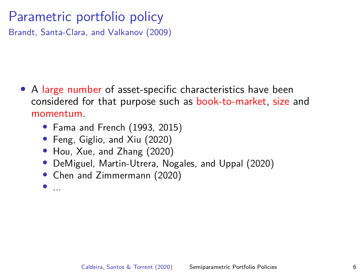# Parametric portfolio policy

[Brandt, Santa-Clara, and Valkanov \(2009\)](#page-45-3)

- A large number of asset-specific characteristics have been considered for that purpose such as book-to-market, size and momentum.
	- [Fama and French \(1993,](#page-45-4) [2015\)](#page-45-5)
	- [Feng, Giglio, and Xiu \(2020\)](#page-45-6)
	- [Hou, Xue, and Zhang \(2020\)](#page-45-7)
	- [DeMiguel, Martin-Utrera, Nogales, and Uppal \(2020\)](#page-45-8)
	- [Chen and Zimmermann \(2020\)](#page-45-9)
	- ...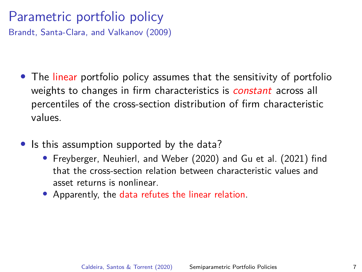# Parametric portfolio policy

[Brandt, Santa-Clara, and Valkanov \(2009\)](#page-45-3)

- The linear portfolio policy assumes that the sensitivity of portfolio weights to changes in firm characteristics is *constant* across all percentiles of the cross-section distribution of firm characteristic values.
- Is this assumption supported by the data?
	- [Freyberger, Neuhierl, and Weber \(2020\)](#page-45-10) and [Gu et al. \(2021\)](#page-45-11) find that the cross-section relation between characteristic values and asset returns is nonlinear.
	- Apparently, the data refutes the linear relation.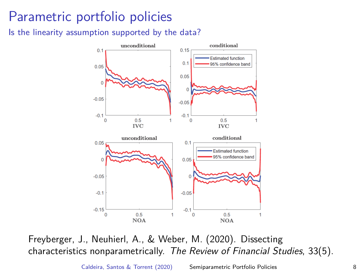#### Is the linearity assumption supported by the data?



Freyberger, J., Neuhierl, A., & Weber, M. (2020). Dissecting characteristics nonparametrically. The Review of Financial Studies, 33(5).

Caldeira, Santos & Torrent (2020) [Semiparametric Portfolio Policies](#page-0-0) 8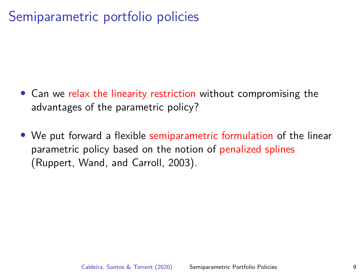- Can we relax the linearity restriction without compromising the advantages of the parametric policy?
- We put forward a flexible semiparametric formulation of the linear parametric policy based on the notion of penalized splines [\(Ruppert, Wand, and Carroll, 2003\)](#page-46-3).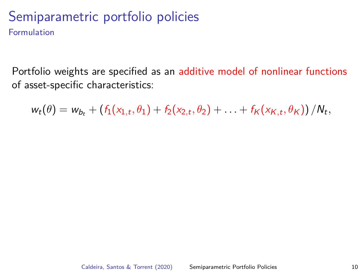Formulation

Portfolio weights are specified as an additive model of nonlinear functions of asset-specific characteristics:

 $w_t(\theta) = w_{b_t} + (f_1(x_{1,t}, \theta_1) + f_2(x_{2,t}, \theta_2) + \ldots + f_K(x_{K,t}, \theta_K)) / N_t,$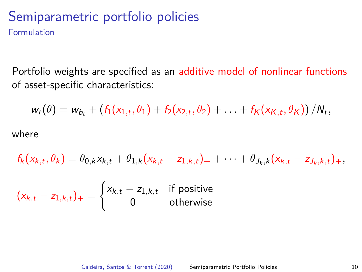Formulation

Portfolio weights are specified as an additive model of nonlinear functions of asset-specific characteristics:

$$
w_t(\theta) = w_{b_t} + (f_1(x_{1,t}, \theta_1) + f_2(x_{2,t}, \theta_2) + \ldots + f_K(x_{K,t}, \theta_K)) / N_t,
$$

where

$$
f_k(x_{k,t}, \theta_k) = \theta_{0,k} x_{k,t} + \theta_{1,k} (x_{k,t} - z_{1,k,t})_+ + \cdots + \theta_{J_k,k} (x_{k,t} - z_{J_k,k,t})_+,
$$

$$
(x_{k,t} - z_{1,k,t})_+ = \begin{cases} x_{k,t} - z_{1,k,t} & \text{if positive} \\ 0 & \text{otherwise} \end{cases}
$$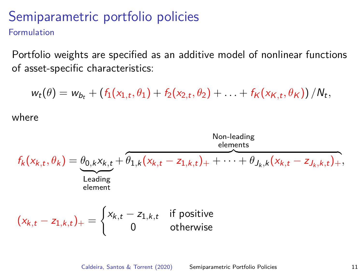Formulation

Portfolio weights are specified as an additive model of nonlinear functions of asset-specific characteristics:

 $w_t(\theta) = w_{b_t} + (f_1(x_{1,t}, \theta_1) + f_2(x_{2,t}, \theta_2) + \ldots + f_K(x_{K,t}, \theta_K)) / N_t,$ 

where

 $f_k(x_{k,t}, \theta_k) = \theta_{0,k} x_{k,t} + \overline{\theta_{1,k} (x_{k,t} - z_{1,k,t})_+ + \cdots + \theta_{J_k,k} (x_{k,t} - z_{J_k,k,t})_+},$ Leading element Non-leading elements

$$
(x_{k,t} - z_{1,k,t})_+ = \begin{cases} x_{k,t} - z_{1,k,t} & \text{if positive} \\ 0 & \text{otherwise} \end{cases}
$$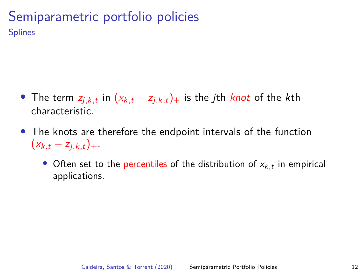- The term  $z_{j,k,t}$  in  $(x_{k,t} z_{j,k,t})_+$  is the *j*th *knot* of the *k*th characteristic.
- The knots are therefore the endpoint intervals of the function  $(x_{k,t} - z_{i,k,t})_+$ .
	- $\bullet$  Often set to the percentiles of the distribution of  $x_{k,t}$  in empirical applications.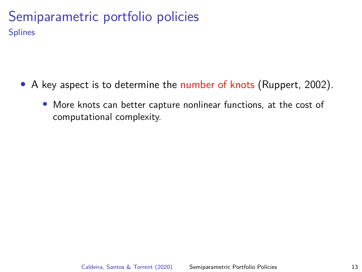- A key aspect is to determine the number of knots [\(Ruppert, 2002\)](#page-46-4).
	- More knots can better capture nonlinear functions, at the cost of computational complexity.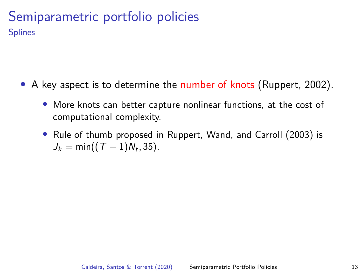- A key aspect is to determine the number of knots [\(Ruppert, 2002\)](#page-46-4).
	- More knots can better capture nonlinear functions, at the cost of computational complexity.
	- Rule of thumb proposed in [Ruppert, Wand, and Carroll \(2003\)](#page-46-3) is  $J_k = \min((T - 1)N_t, 35)$ .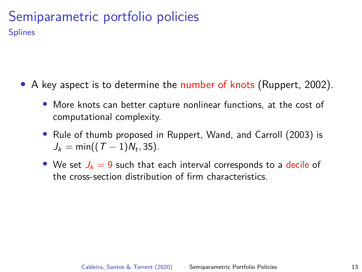- A key aspect is to determine the number of knots [\(Ruppert, 2002\)](#page-46-4).
	- More knots can better capture nonlinear functions, at the cost of computational complexity.
	- Rule of thumb proposed in [Ruppert, Wand, and Carroll \(2003\)](#page-46-3) is  $J_k = \min((T - 1)N_t, 35)$ .
	- We set  $J_k = 9$  such that each interval corresponds to a decile of the cross-section distribution of firm characteristics.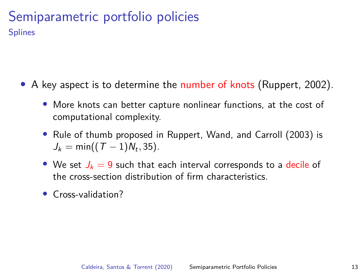- A key aspect is to determine the number of knots [\(Ruppert, 2002\)](#page-46-4).
	- More knots can better capture nonlinear functions, at the cost of computational complexity.
	- Rule of thumb proposed in [Ruppert, Wand, and Carroll \(2003\)](#page-46-3) is  $J_k = \min((T - 1)N_t, 35)$ .
	- We set  $J_k = 9$  such that each interval corresponds to a decile of the cross-section distribution of firm characteristics.
	- Cross-validation?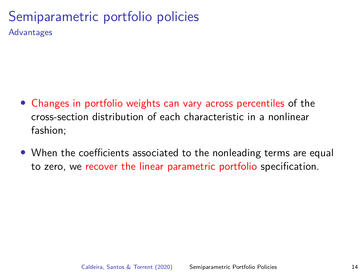Advantages

- Changes in portfolio weights can vary across percentiles of the cross-section distribution of each characteristic in a nonlinear fashion;
- When the coefficients associated to the nonleading terms are equal to zero, we recover the linear parametric portfolio specification.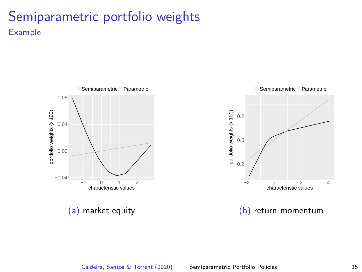## Semiparametric portfolio weights Example



(a) market equity



(b) return momentum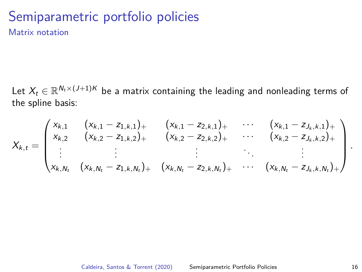Matrix notation

Let  $X_t \in \mathbb{R}^{N_t \times (J+1)K}$  be a matrix containing the leading and nonleading terms of the spline basis:

$$
X_{k,t} = \begin{pmatrix} x_{k,1} & (x_{k,1} - z_{1,k,1})_{+} & (x_{k,1} - z_{2,k,1})_{+} & \cdots & (x_{k,1} - z_{J_k,k,1})_{+} \\ x_{k,2} & (x_{k,2} - z_{1,k,2})_{+} & (x_{k,2} - z_{2,k,2})_{+} & \cdots & (x_{k,2} - z_{J_k,k,2})_{+} \\ \vdots & \vdots & \vdots & \ddots & \vdots \\ x_{k,N_t} & (x_{k,N_t} - z_{1,k,N_t})_{+} & (x_{k,N_t} - z_{2,k,N_t})_{+} & \cdots & (x_{k,N_t} - z_{J_k,k,N_t})_{+} \end{pmatrix}
$$

*.*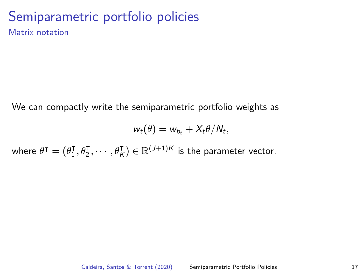Matrix notation

We can compactly write the semiparametric portfolio weights as

$$
w_t(\theta) = w_{b_t} + X_t \theta / N_t,
$$

where  $\theta^{\intercal} = (\theta_1^{\intercal})$  $\{\boldsymbol{\theta}_1^{\sf T}, \boldsymbol{\theta}_2^{\sf T}, \cdots, \boldsymbol{\theta}_K^{\sf T}\} \in \mathbb{R}^{(J+1)K}$  is the parameter vector.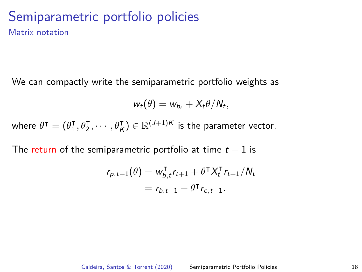Matrix notation

We can compactly write the semiparametric portfolio weights as

$$
w_t(\theta) = w_{b_t} + X_t \theta / N_t,
$$

where  $\theta^{\intercal} = (\theta_1^{\intercal})$  $\{\boldsymbol{\theta}_1^{\sf T}, \boldsymbol{\theta}_2^{\sf T}, \cdots, \boldsymbol{\theta}_K^{\sf T}\} \in \mathbb{R}^{(J+1)K}$  is the parameter vector.

The return of the semiparametric portfolio at time  $t + 1$  is

$$
r_{p,t+1}(\theta) = w_{b,t}^{\mathsf{T}} r_{t+1} + \theta^{\mathsf{T}} X_t^{\mathsf{T}} r_{t+1} / N_t
$$
  
=  $r_{b,t+1} + \theta^{\mathsf{T}} r_{c,t+1}.$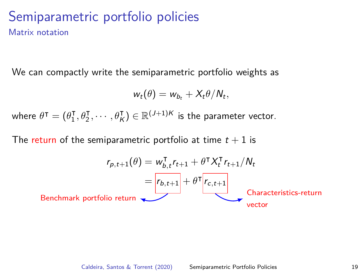#### Semiparametric portfolio policies Matrix notation

We can compactly write the semiparametric portfolio weights as

$$
w_t(\theta) = w_{b_t} + X_t \theta / N_t,
$$

where  $\theta^{\intercal} = (\theta_1^{\intercal})$  $\{\boldsymbol{\theta}_1^{\sf T}, \boldsymbol{\theta}_2^{\sf T}, \cdots, \boldsymbol{\theta}_K^{\sf T}\} \in \mathbb{R}^{(J+1)K}$  is the parameter vector.

The return of the semiparametric portfolio at time  $t + 1$  is

$$
r_{p,t+1}(\theta) = w_{b,t}^{\mathsf{T}} r_{t+1} + \theta^{\mathsf{T}} X_t^{\mathsf{T}} r_{t+1} / N_t
$$
  
=  $\boxed{r_{b,t+1}} + \theta^{\mathsf{T}} \boxed{r_{c,t+1}}$   
Characteristics-return  
vector  
vector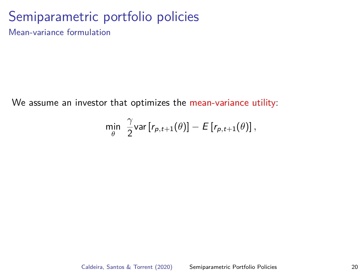Mean-variance formulation

We assume an investor that optimizes the mean-variance utility:

$$
\min_{\theta} \ \frac{\gamma}{2} \text{var}[r_{p,t+1}(\theta)] - E[r_{p,t+1}(\theta)],
$$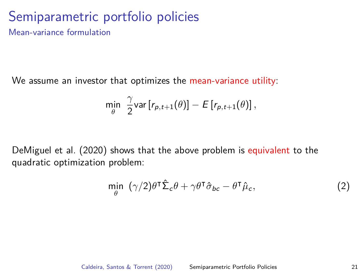Mean-variance formulation

We assume an investor that optimizes the mean-variance utility:

$$
\min_{\theta} \ \frac{\gamma}{2} \text{var}\left[r_{p,t+1}(\theta)\right] - E\left[r_{p,t+1}(\theta)\right],
$$

[DeMiguel et al. \(2020\)](#page-45-8) shows that the above problem is equivalent to the quadratic optimization problem:

$$
\min_{\theta} \ (\gamma/2)\theta^{\mathsf{T}}\hat{\Sigma}_{c}\theta + \gamma\theta^{\mathsf{T}}\hat{\sigma}_{bc} - \theta^{\mathsf{T}}\hat{\mu}_{c},\tag{2}
$$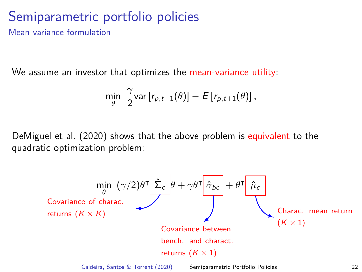Mean-variance formulation

We assume an investor that optimizes the mean-variance utility:

$$
\min_{\theta} \ \frac{\gamma}{2} \text{var}\left[r_{p,t+1}(\theta)\right] - E\left[r_{p,t+1}(\theta)\right],
$$

[DeMiguel et al. \(2020\)](#page-45-8) shows that the above problem is equivalent to the quadratic optimization problem:

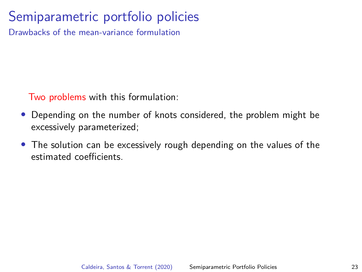Drawbacks of the mean-variance formulation

Two problems with this formulation:

- Depending on the number of knots considered, the problem might be excessively parameterized;
- The solution can be excessively rough depending on the values of the estimated coefficients.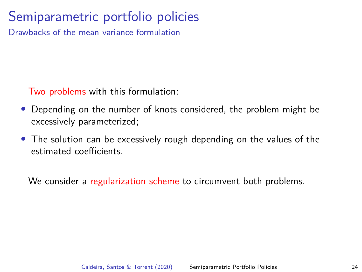Drawbacks of the mean-variance formulation

Two problems with this formulation:

- Depending on the number of knots considered, the problem might be excessively parameterized;
- The solution can be excessively rough depending on the values of the estimated coefficients.

We consider a regularization scheme to circumvent both problems.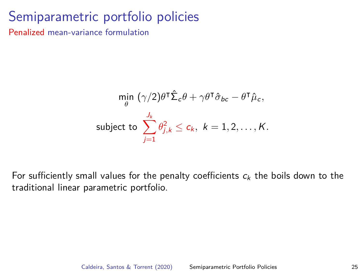Penalized mean-variance formulation

$$
\min_{\theta} \ (\gamma/2) \theta^{\mathsf{T}} \hat{\Sigma}_{c} \theta + \gamma \theta^{\mathsf{T}} \hat{\sigma}_{bc} - \theta^{\mathsf{T}} \hat{\mu}_{c},
$$
\nsubject to 
$$
\sum_{j=1}^{J_{k}} \theta_{j,k}^{2} \leq c_{k}, \ k = 1, 2, ..., K.
$$

For sufficiently small values for the penalty coefficients  $c_k$  the boils down to the traditional linear parametric portfolio.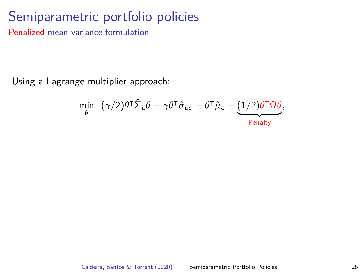Penalized mean-variance formulation

Using a Lagrange multiplier approach:

$$
\min_{\theta} \ \left( \gamma/2 \right) \theta^{\mathsf{T}} \hat{\Sigma}_{c} \theta + \gamma \theta^{\mathsf{T}} \hat{\sigma}_{bc} - \theta^{\mathsf{T}} \hat{\mu}_{c} + \underbrace{(1/2) \theta^{\mathsf{T}} \Omega \theta}_{\text{Penalty}},
$$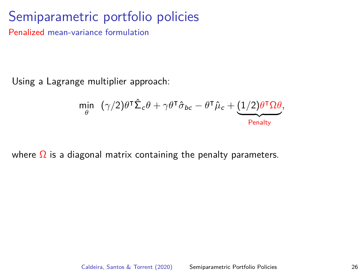Penalized mean-variance formulation

Using a Lagrange multiplier approach:

$$
\min_{\theta} \ \left( \gamma/2 \right) \theta^{\mathsf{T}} \hat{\Sigma}_{c} \theta + \gamma \theta^{\mathsf{T}} \hat{\sigma}_{bc} - \theta^{\mathsf{T}} \hat{\mu}_{c} + \underbrace{(1/2) \theta^{\mathsf{T}} \Omega \theta}_{\text{Penalty}},
$$

where  $\Omega$  is a diagonal matrix containing the penalty parameters.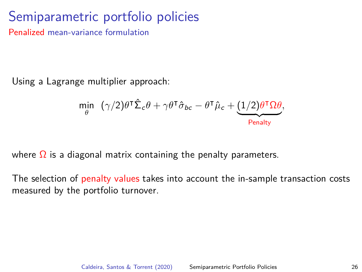Penalized mean-variance formulation

Using a Lagrange multiplier approach:

$$
\min_{\theta} \ \ (\gamma/2) \theta^{\mathsf{T}} \hat{\Sigma}_c \theta + \gamma \theta^{\mathsf{T}} \hat{\sigma}_{bc} - \theta^{\mathsf{T}} \hat{\mu}_c + \underbrace{(1/2) \theta^{\mathsf{T}} \Omega \theta}_{\text{Penalty}},
$$

where  $\Omega$  is a diagonal matrix containing the penalty parameters.

The selection of penalty values takes into account the in-sample transaction costs measured by the portfolio turnover.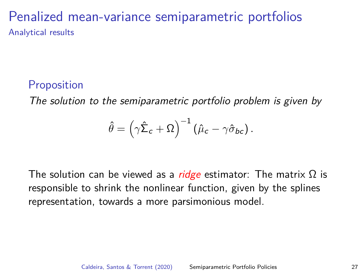## Penalized mean-variance semiparametric portfolios Analytical results

#### **Proposition**

The solution to the semiparametric portfolio problem is given by

$$
\hat{\theta} = \left(\gamma \hat{\Sigma}_c + \Omega\right)^{-1} \left(\hat{\mu}_c - \gamma \hat{\sigma}_{bc}\right).
$$

The solution can be viewed as a *ridge* estimator: The matrix  $\Omega$  is responsible to shrink the nonlinear function, given by the splines representation, towards a more parsimonious model.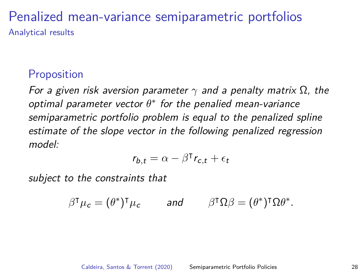#### Penalized mean-variance semiparametric portfolios Analytical results

#### **Proposition**

For a given risk aversion parameter *γ* and a penalty matrix Ω, the optimal parameter vector  $\theta^*$  for the penalied mean-variance semiparametric portfolio problem is equal to the penalized spline estimate of the slope vector in the following penalized regression model:

$$
r_{b,t} = \alpha - \beta^\mathsf{T} r_{c,t} + \epsilon_t
$$

subject to the constraints that

$$
\beta^{\mathsf{T}}\mu_{\mathsf{c}} = (\theta^*)^{\mathsf{T}}\mu_{\mathsf{c}} \quad \text{and} \quad \beta^{\mathsf{T}}\Omega\beta = (\theta^*)^{\mathsf{T}}\Omega\theta^*.
$$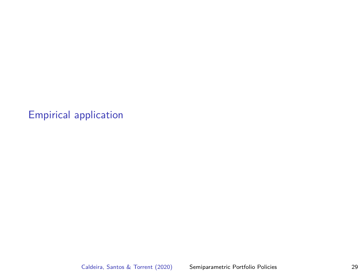<span id="page-35-0"></span>Caldeira, Santos & Torrent (2020) [Semiparametric Portfolio Policies](#page-0-0) 29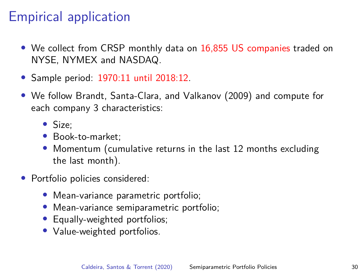- We collect from CRSP monthly data on 16,855 US companies traded on NYSE, NYMEX and NASDAQ.
- Sample period: 1970:11 until 2018:12.
- We follow [Brandt, Santa-Clara, and Valkanov \(2009\)](#page-45-3) and compute for each company 3 characteristics:
	- Size;
	- Book-to-market;
	- Momentum (cumulative returns in the last 12 months excluding the last month).
- Portfolio policies considered:
	- Mean-variance parametric portfolio;
	- Mean-variance semiparametric portfolio;
	- Equally-weighted portfolios;
	- Value-weighted portfolios.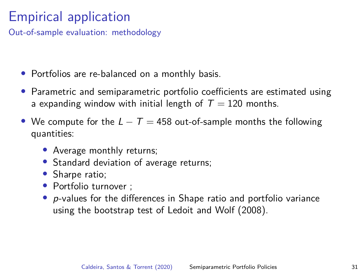Out-of-sample evaluation: methodology

- Portfolios are re-balanced on a monthly basis.
- Parametric and semiparametric portfolio coefficients are estimated using a expanding window with initial length of  $T = 120$  months.
- We compute for the  $L T = 458$  out-of-sample months the following quantities:
	- Average monthly returns;
	- Standard deviation of average returns;
	- Sharpe ratio;
	- Portfolio turnover :
	- $\bullet$  p-values for the differences in Shape ratio and portfolio variance using the bootstrap test of [Ledoit and Wolf \(2008\)](#page-45-12).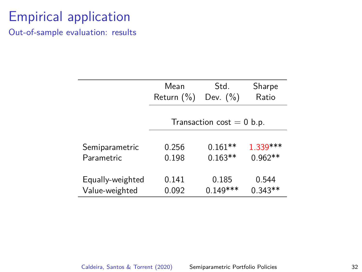Out-of-sample evaluation: results

|                              | Mean<br>Return $(\%)$       | Std.<br>Dev. $(\% )$   | Sharpe<br>Ratio        |  |  |  |
|------------------------------|-----------------------------|------------------------|------------------------|--|--|--|
|                              | Transaction cost $= 0$ b.p. |                        |                        |  |  |  |
| Semiparametric<br>Parametric | 0.256<br>0.198              | $0.161**$<br>$0.163**$ | 1.339 ***<br>$0.962**$ |  |  |  |
| Equally-weighted             | 0.141                       | 0.185                  | 0.544                  |  |  |  |
| Value-weighted               | 0.092                       | $0.149***$             | $0.343**$              |  |  |  |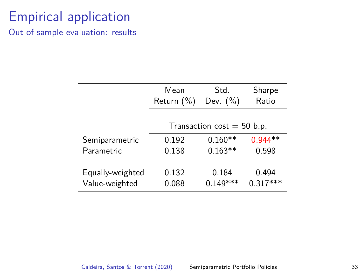Out-of-sample evaluation: results

|                  | Mean<br>Return $(\%)$        | Std.<br>Dev. $(\% )$ | Sharpe<br>Ratio |  |  |  |
|------------------|------------------------------|----------------------|-----------------|--|--|--|
|                  | Transaction cost $=$ 50 b.p. |                      |                 |  |  |  |
| Semiparametric   | 0.192                        | $0.160**$            | $0.944**$       |  |  |  |
| Parametric       | 0.138                        | $0.163**$            | 0.598           |  |  |  |
|                  |                              |                      |                 |  |  |  |
| Equally-weighted | 0.132                        | 0.184                | 0.494           |  |  |  |
| Value-weighted   | 0.088                        | $0.149***$           | $0.317***$      |  |  |  |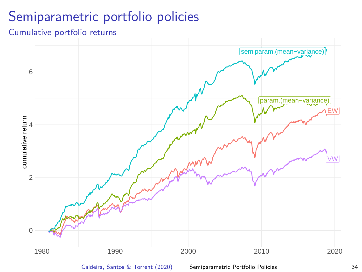#### Cumulative portfolio returns



Caldeira, Santos & Torrent (2020) [Semiparametric Portfolio Policies](#page-0-0) 34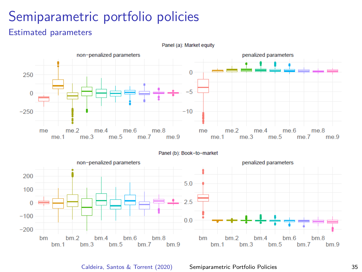#### Estimated parameters



Panel (a): Market equity

Caldeira, Santos & Torrent (2020) [Semiparametric Portfolio Policies](#page-0-0) 35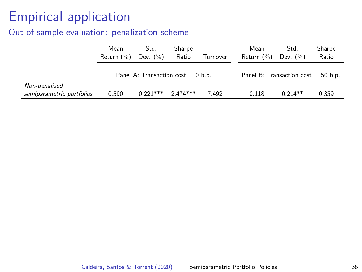#### Out-of-sample evaluation: penalization scheme

|                                            | Mean<br>Return $(\%)$                 | Std.<br>Dev. $(\% )$ | Sharpe<br>Ratio | Turnover                               | Mean<br>Return $(\%)$ | Std.<br>Dev. $(\%)$ | Sharpe<br>Ratio |
|--------------------------------------------|---------------------------------------|----------------------|-----------------|----------------------------------------|-----------------------|---------------------|-----------------|
|                                            | Panel A: Transaction $cost = 0 b.p$ . |                      |                 | Panel B: Transaction $cost = 50 b.p$ . |                       |                     |                 |
| Non-penalized<br>semiparametric portfolios | 0.590                                 | $0.221***$           | $2.474***$      | 7.492                                  | 0.118                 | $0.214**$           | 0.359           |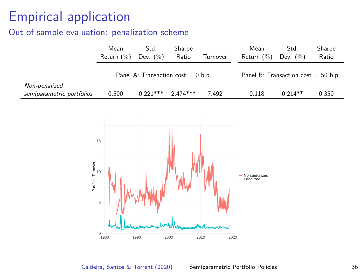#### Out-of-sample evaluation: penalization scheme

|                                            | Mean<br>Return (%)                    | Std.<br>Dev. $(\% )$ | Sharpe<br>Ratio | Turnover     | Mean<br>Return (%)                    | $\overline{Std}$ .<br>Dev. $(\%)$ | Sharpe<br>Ratio |  |
|--------------------------------------------|---------------------------------------|----------------------|-----------------|--------------|---------------------------------------|-----------------------------------|-----------------|--|
|                                            | Panel A: Transaction $cost = 0 b.p$ . |                      |                 |              | Panel B: Transaction $cost = 50 b.p.$ |                                   |                 |  |
| Non-penalized<br>semiparametric portfolios | 0.590                                 | $0.221***$           | $2.474***$      | 7.492        | 0.118                                 | $0.214**$                         | 0.359           |  |
| Portfolio Turnover                         | 15<br>10<br>5<br>$\,0\,$<br>1980      | 1990                 | 2000            | 2010<br>2020 | - Non.penalized<br>- Penalized        |                                   |                 |  |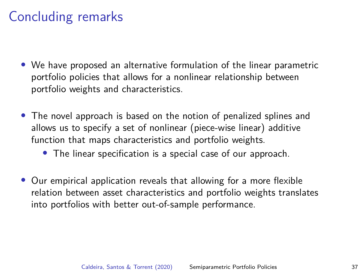# Concluding remarks

- We have proposed an alternative formulation of the linear parametric portfolio policies that allows for a nonlinear relationship between portfolio weights and characteristics.
- The novel approach is based on the notion of penalized splines and allows us to specify a set of nonlinear (piece-wise linear) additive function that maps characteristics and portfolio weights.
	- The linear specification is a special case of our approach.
- Our empirical application reveals that allowing for a more flexible relation between asset characteristics and portfolio weights translates into portfolios with better out-of-sample performance.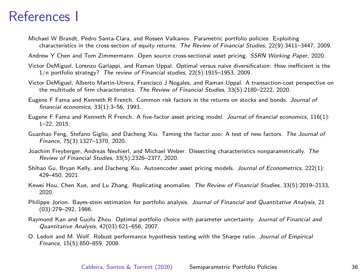# References I

<span id="page-45-3"></span>Michael W Brandt, Pedro Santa-Clara, and Rossen Valkanov. Parametric portfolio policies: Exploiting characteristics in the cross-section of equity returns. The Review of Financial Studies, 22(9):3411–3447, 2009.

<span id="page-45-9"></span>Andrew Y Chen and Tom Zimmermann. Open source cross-sectional asset pricing. SSRN Working Paper, 2020.

- <span id="page-45-2"></span>Victor DeMiguel, Lorenzo Garlappi, and Raman Uppal. Optimal versus naive diversification: How inefficient is the 1/n portfolio strategy? The review of Financial studies, 22(5):1915–1953, 2009.
- <span id="page-45-8"></span>Victor DeMiguel, Alberto Martin-Utrera, Francisco J Nogales, and Raman Uppal. A transaction-cost perspective on the multitude of firm characteristics. The Review of Financial Studies, 33(5):2180–2222, 2020.
- <span id="page-45-4"></span>Eugene F Fama and Kenneth R French. Common risk factors in the returns on stocks and bonds. Journal of financial economics, 33(1):3–56, 1993.
- <span id="page-45-5"></span>Eugene F Fama and Kenneth R French. A five-factor asset pricing model. Journal of financial economics, 116(1): 1–22, 2015.
- <span id="page-45-6"></span>Guanhao Feng, Stefano Giglio, and Dacheng Xiu. Taming the factor zoo: A test of new factors. The Journal of Finance, 75(3):1327–1370, 2020.
- <span id="page-45-10"></span>Joachim Freyberger, Andreas Neuhierl, and Michael Weber. Dissecting characteristics nonparametrically. The Review of Financial Studies, 33(5):2326–2377, 2020.
- <span id="page-45-11"></span>Shihao Gu, Bryan Kelly, and Dacheng Xiu. Autoencoder asset pricing models. Journal of Econometrics, 222(1): 429–450, 2021.
- <span id="page-45-7"></span>Kewei Hou, Chen Xue, and Lu Zhang. Replicating anomalies. The Review of Financial Studies, 33(5):2019–2133, 2020.
- <span id="page-45-0"></span>Philippe Jorion. Bayes-stein estimation for portfolio analysis. Journal of Financial and Quantitative Analysis, 21 (03):279–292, 1986.
- <span id="page-45-1"></span>Raymond Kan and Guofu Zhou. Optimal portfolio choice with parameter uncertainty. Journal of Financial and Quantitative Analysis, 42(03):621–656, 2007.
- <span id="page-45-12"></span>O. Ledoit and M. Wolf. Robust performance hypothesis testing with the Sharpe ratio. Journal of Empirical Finance, 15(5):850–859, 2008.